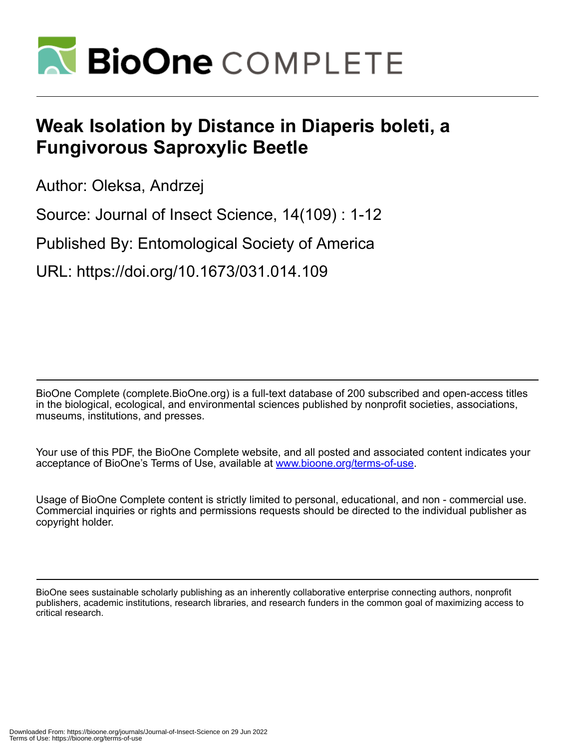

# **Weak Isolation by Distance in Diaperis boleti, a Fungivorous Saproxylic Beetle**

Author: Oleksa, Andrzej

Source: Journal of Insect Science, 14(109) : 1-12

Published By: Entomological Society of America

URL: https://doi.org/10.1673/031.014.109

BioOne Complete (complete.BioOne.org) is a full-text database of 200 subscribed and open-access titles in the biological, ecological, and environmental sciences published by nonprofit societies, associations, museums, institutions, and presses.

Your use of this PDF, the BioOne Complete website, and all posted and associated content indicates your acceptance of BioOne's Terms of Use, available at www.bioone.org/terms-of-use.

Usage of BioOne Complete content is strictly limited to personal, educational, and non - commercial use. Commercial inquiries or rights and permissions requests should be directed to the individual publisher as copyright holder.

BioOne sees sustainable scholarly publishing as an inherently collaborative enterprise connecting authors, nonprofit publishers, academic institutions, research libraries, and research funders in the common goal of maximizing access to critical research.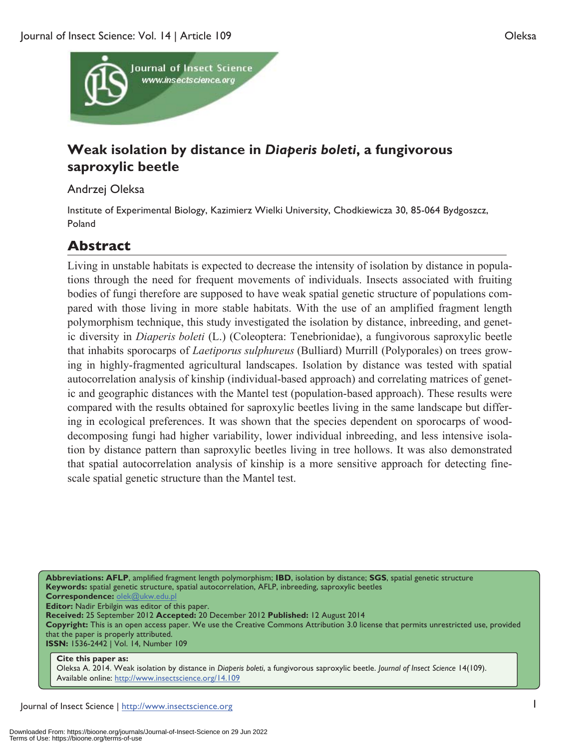

## **Weak isolation by distance in** *Diaperis boleti***, a fungivorous saproxylic beetle**

Andrzej Oleksa

Institute of Experimental Biology, Kazimierz Wielki University, Chodkiewicza 30, 85-064 Bydgoszcz, Poland

## **Abstract**

Living in unstable habitats is expected to decrease the intensity of isolation by distance in populations through the need for frequent movements of individuals. Insects associated with fruiting bodies of fungi therefore are supposed to have weak spatial genetic structure of populations compared with those living in more stable habitats. With the use of an amplified fragment length polymorphism technique, this study investigated the isolation by distance, inbreeding, and genetic diversity in *Diaperis boleti* (L.) (Coleoptera: Tenebrionidae), a fungivorous saproxylic beetle that inhabits sporocarps of *Laetiporus sulphureus* (Bulliard) Murrill (Polyporales) on trees growing in highly-fragmented agricultural landscapes. Isolation by distance was tested with spatial autocorrelation analysis of kinship (individual-based approach) and correlating matrices of genetic and geographic distances with the Mantel test (population-based approach). These results were compared with the results obtained for saproxylic beetles living in the same landscape but differing in ecological preferences. It was shown that the species dependent on sporocarps of wooddecomposing fungi had higher variability, lower individual inbreeding, and less intensive isolation by distance pattern than saproxylic beetles living in tree hollows. It was also demonstrated that spatial autocorrelation analysis of kinship is a more sensitive approach for detecting finescale spatial genetic structure than the Mantel test.

**Abbreviations: AFLP**, amplified fragment length polymorphism; **IBD**, isolation by distance; **SGS**, spatial genetic structure **Keywords:** spatial genetic structure, spatial autocorrelation, AFLP, inbreeding, saproxylic beetles **Correspondence:** olek@ukw.edu.pl **Editor:** Nadir Erbilgin was editor of this paper. **Received:** 25 September 2012 **Accepted:** 20 December 2012 **Published:** 12 August 2014 **Copyright:** This is an open access paper. We use the Creative Commons Attribution 3.0 license that permits unrestricted use, provided that the paper is properly attributed. **ISSN:** 1536-2442 | Vol. 14, Number 109 **Cite this paper as:** 

Oleksa A. 2014. Weak isolation by distance in *Diaperis boleti*, a fungivorous saproxylic beetle. *Journal of Insect Science* 14(109). Available online: http://www.insectscience.org/14.109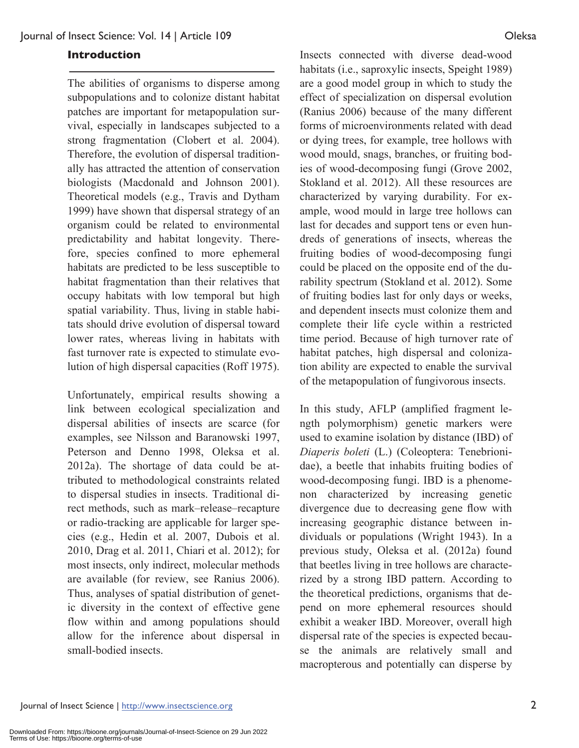#### **Introduction**

The abilities of organisms to disperse among subpopulations and to colonize distant habitat patches are important for metapopulation survival, especially in landscapes subjected to a strong fragmentation (Clobert et al. 2004). Therefore, the evolution of dispersal traditionally has attracted the attention of conservation biologists (Macdonald and Johnson 2001). Theoretical models (e.g., Travis and Dytham 1999) have shown that dispersal strategy of an organism could be related to environmental predictability and habitat longevity. Therefore, species confined to more ephemeral habitats are predicted to be less susceptible to habitat fragmentation than their relatives that occupy habitats with low temporal but high spatial variability. Thus, living in stable habitats should drive evolution of dispersal toward lower rates, whereas living in habitats with fast turnover rate is expected to stimulate evolution of high dispersal capacities (Roff 1975).

Unfortunately, empirical results showing a link between ecological specialization and dispersal abilities of insects are scarce (for examples, see Nilsson and Baranowski 1997, Peterson and Denno 1998, Oleksa et al. 2012a). The shortage of data could be attributed to methodological constraints related to dispersal studies in insects. Traditional direct methods, such as mark-release-recapture or radio-tracking are applicable for larger species (e.g., Hedin et al. 2007, Dubois et al. 2010, Drag et al. 2011, Chiari et al. 2012); for most insects, only indirect, molecular methods are available (for review, see Ranius 2006). Thus, analyses of spatial distribution of genetic diversity in the context of effective gene flow within and among populations should allow for the inference about dispersal in small-bodied insects.

Insects connected with diverse dead-wood habitats (i.e., saproxylic insects, Speight 1989) are a good model group in which to study the effect of specialization on dispersal evolution (Ranius 2006) because of the many different forms of microenvironments related with dead or dying trees, for example, tree hollows with wood mould, snags, branches, or fruiting bodies of wood-decomposing fungi (Grove 2002, Stokland et al. 2012). All these resources are characterized by varying durability. For example, wood mould in large tree hollows can last for decades and support tens or even hundreds of generations of insects, whereas the fruiting bodies of wood-decomposing fungi could be placed on the opposite end of the durability spectrum (Stokland et al. 2012). Some of fruiting bodies last for only days or weeks, and dependent insects must colonize them and complete their life cycle within a restricted time period. Because of high turnover rate of habitat patches, high dispersal and colonization ability are expected to enable the survival of the metapopulation of fungivorous insects.

In this study, AFLP (amplified fragment length polymorphism) genetic markers were used to examine isolation by distance (IBD) of *Diaperis boleti* (L.) (Coleoptera: Tenebrionidae), a beetle that inhabits fruiting bodies of wood-decomposing fungi. IBD is a phenomenon characterized by increasing genetic divergence due to decreasing gene flow with increasing geographic distance between individuals or populations (Wright 1943). In a previous study, Oleksa et al. (2012a) found that beetles living in tree hollows are characterized by a strong IBD pattern. According to the theoretical predictions, organisms that depend on more ephemeral resources should exhibit a weaker IBD. Moreover, overall high dispersal rate of the species is expected because the animals are relatively small and macropterous and potentially can disperse by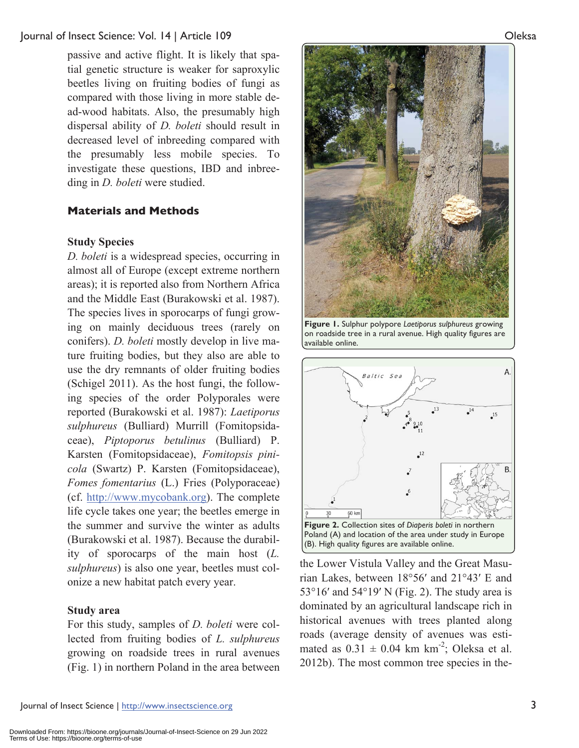passive and active flight. It is likely that spatial genetic structure is weaker for saproxylic beetles living on fruiting bodies of fungi as compared with those living in more stable dead-wood habitats. Also, the presumably high dispersal ability of *D. boleti* should result in decreased level of inbreeding compared with the presumably less mobile species. To investigate these questions, IBD and inbreeding in *D. boleti* were studied.

## **Materials and Methods**

#### **Study Species**

*D. boleti* is a widespread species, occurring in almost all of Europe (except extreme northern areas); it is reported also from Northern Africa and the Middle East (Burakowski et al. 1987). The species lives in sporocarps of fungi growing on mainly deciduous trees (rarely on conifers). *D. boleti* mostly develop in live mature fruiting bodies, but they also are able to use the dry remnants of older fruiting bodies (Schigel 2011). As the host fungi, the following species of the order Polyporales were reported (Burakowski et al. 1987): *Laetiporus sulphureus* (Bulliard) Murrill (Fomitopsidaceae), *Piptoporus betulinus* (Bulliard) P. Karsten (Fomitopsidaceae), *Fomitopsis pinicola* (Swartz) P. Karsten (Fomitopsidaceae), *Fomes fomentarius* (L.) Fries (Polyporaceae) (cf. http://www.mycobank.org). The complete life cycle takes one year; the beetles emerge in the summer and survive the winter as adults (Burakowski et al. 1987). Because the durability of sporocarps of the main host (*L. sulphureus*) is also one year, beetles must colonize a new habitat patch every year.

#### **Study area**

For this study, samples of *D. boleti* were collected from fruiting bodies of *L. sulphureus* growing on roadside trees in rural avenues (Fig. 1) in northern Poland in the area between



**Figure 1.** Sulphur polypore *Laetiporus sulphureus* growing on roadside tree in a rural avenue. High quality figures are available online.



the Lower Vistula Valley and the Great Masurian Lakes, between 18°56′ and 21°43′ E and 53°16′ and 54°19′ N (Fig. 2). The study area is dominated by an agricultural landscape rich in historical avenues with trees planted along roads (average density of avenues was estimated as  $0.31 \pm 0.04$  km km<sup>-2</sup>; Oleksa et al. 2012b). The most common tree species in the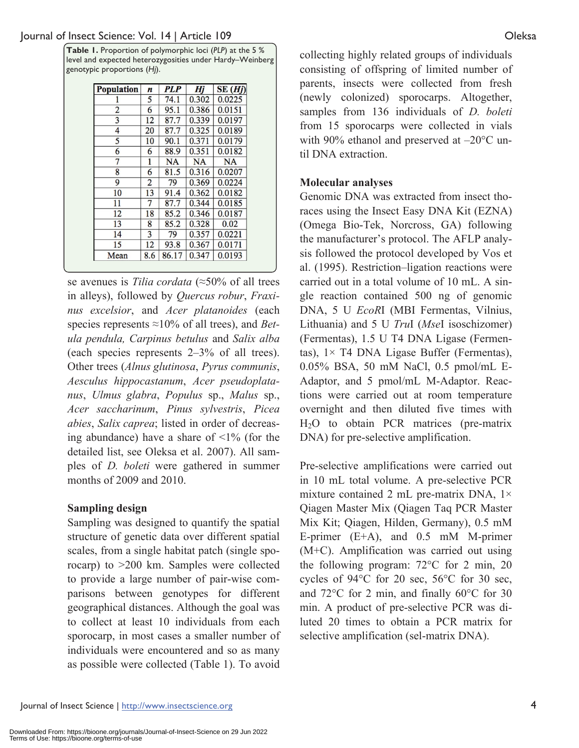**Table 1.** Proportion of polymorphic loci (*PLP*) at the 5 % level and expected heterozygosities under Hardy–Weinberg genotypic proportions (*Hj*).

| <b>Population</b> | n   | <b>PLP</b> | Hj        | SE(Hj)    |
|-------------------|-----|------------|-----------|-----------|
|                   | 5   | 74.1       | 0.302     | 0.0225    |
| 2                 | 6   | 95.1       | 0.386     | 0.0151    |
| 3                 | 12  | 87.7       | 0.339     | 0.0197    |
| 4                 | 20  | 87.7       | 0.325     | 0.0189    |
| 5                 | 10  | 90.1       | 0.371     | 0.0179    |
| 6                 | 6   | 88.9       | 0.351     | 0.0182    |
| 7                 | 1   | <b>NA</b>  | <b>NA</b> | <b>NA</b> |
| 8                 | 6   | 81.5       | 0.316     | 0.0207    |
| 9                 | 2   | 79         | 0.369     | 0.0224    |
| 10                | 13  | 91.4       | 0.362     | 0.0182    |
| 11                | 7   | 87.7       | 0.344     | 0.0185    |
| 12                | 18  | 85.2       | 0.346     | 0.0187    |
| 13                | 8   | 85.2       | 0.328     | 0.02      |
| 14                | 3   | 79         | 0.357     | 0.0221    |
| 15                | 12  | 93.8       | 0.367     | 0.0171    |
| Mean              | 8.6 | 86.17      | 0.347     | 0.0193    |

se avenues is *Tilia cordata* (≈50% of all trees in alleys), followed by *Quercus robur*, *Fraxinus excelsior*, and *Acer platanoides* (each species represents ≈10% of all trees), and *Betula pendula, Carpinus betulus* and *Salix alba* (each species represents 2‒3% of all trees). Other trees (*Alnus glutinosa*, *Pyrus communis*, *Aesculus hippocastanum*, *Acer pseudoplatanus*, *Ulmus glabra*, *Populus* sp., *Malus* sp., *Acer saccharinum*, *Pinus sylvestris*, *Picea abies*, *Salix caprea*; listed in order of decreasing abundance) have a share of  $\leq 1\%$  (for the detailed list, see Oleksa et al. 2007). All samples of *D. boleti* were gathered in summer months of 2009 and 2010.

## **Sampling design**

Sampling was designed to quantify the spatial structure of genetic data over different spatial scales, from a single habitat patch (single sporocarp) to >200 km. Samples were collected to provide a large number of pair-wise comparisons between genotypes for different geographical distances. Although the goal was to collect at least 10 individuals from each sporocarp, in most cases a smaller number of individuals were encountered and so as many as possible were collected (Table 1). To avoid collecting highly related groups of individuals consisting of offspring of limited number of parents, insects were collected from fresh (newly colonized) sporocarps. Altogether, samples from 136 individuals of *D. boleti* from 15 sporocarps were collected in vials with 90% ethanol and preserved at  $-20^{\circ}$ C until DNA extraction.

## **Molecular analyses**

Genomic DNA was extracted from insect thoraces using the Insect Easy DNA Kit (EZNA) (Omega Bio-Tek, Norcross, GA) following the manufacturer's protocol. The AFLP analysis followed the protocol developed by Vos et al. (1995). Restriction–ligation reactions were carried out in a total volume of 10 mL. A single reaction contained 500 ng of genomic DNA, 5 U *EcoR*I (MBI Fermentas, Vilnius, Lithuania) and 5 U *Tru*I (*Mse*I isoschizomer) (Fermentas), 1.5 U T4 DNA Ligase (Fermentas),  $1 \times$  T4 DNA Ligase Buffer (Fermentas), 0.05% BSA, 50 mM NaCl, 0.5 pmol/mL E-Adaptor, and 5 pmol/mL M-Adaptor. Reactions were carried out at room temperature overnight and then diluted five times with H2O to obtain PCR matrices (pre-matrix DNA) for pre-selective amplification.

Pre-selective amplifications were carried out in 10 mL total volume. A pre-selective PCR mixture contained 2 mL pre-matrix DNA,  $1 \times$ Qiagen Master Mix (Qiagen Taq PCR Master Mix Kit; Qiagen, Hilden, Germany), 0.5 mM E-primer (E+A), and 0.5 mM M-primer (M+C). Amplification was carried out using the following program: 72°C for 2 min, 20 cycles of 94°C for 20 sec, 56°C for 30 sec, and 72°C for 2 min, and finally 60°C for 30 min. A product of pre-selective PCR was diluted 20 times to obtain a PCR matrix for selective amplification (sel-matrix DNA).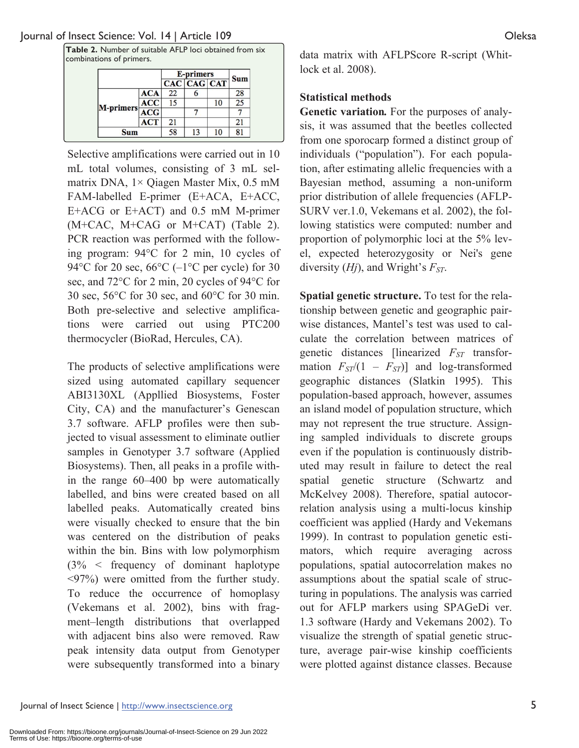**Table 2.** Number of suitable AFLP loci obtained from six combinations of primers.

|                                                   |            | <b>E-primers</b> |                    |    |            |
|---------------------------------------------------|------------|------------------|--------------------|----|------------|
|                                                   |            |                  | <b>CAC</b> CAG CAT |    | <b>Sum</b> |
| $M\text{-}\text{primers}$ $\overline{\text{ACG}}$ | ACA        | 22               |                    |    | 28         |
|                                                   | <b>ACC</b> | 15               |                    | 10 | 25         |
|                                                   |            |                  |                    |    |            |
|                                                   | <b>ACT</b> |                  |                    |    | 21         |
| <b>Sum</b>                                        |            | 58               |                    | 10 |            |

Selective amplifications were carried out in 10 mL total volumes, consisting of 3 mL selmatrix DNA, 1× Qiagen Master Mix, 0.5 mM FAM-labelled E-primer (E+ACA, E+ACC, E+ACG or E+ACT) and 0.5 mM M-primer (M+CAC, M+CAG or M+CAT) (Table 2). PCR reaction was performed with the following program: 94°C for 2 min, 10 cycles of 94 $\rm ^{o}C$  for 20 sec, 66 $\rm ^{o}C$  (-1 $\rm ^{o}C$  per cycle) for 30 sec, and 72°C for 2 min, 20 cycles of 94°C for 30 sec, 56°C for 30 sec, and 60°C for 30 min. Both pre-selective and selective amplifications were carried out using PTC200 thermocycler (BioRad, Hercules, CA).

The products of selective amplifications were sized using automated capillary sequencer ABI3130XL (Appllied Biosystems, Foster City, CA) and the manufacturer's Genescan 3.7 software. AFLP profiles were then subjected to visual assessment to eliminate outlier samples in Genotyper 3.7 software (Applied Biosystems). Then, all peaks in a profile within the range 60–400 bp were automatically labelled, and bins were created based on all labelled peaks. Automatically created bins were visually checked to ensure that the bin was centered on the distribution of peaks within the bin. Bins with low polymorphism (3% < frequency of dominant haplotype <97%) were omitted from the further study. To reduce the occurrence of homoplasy (Vekemans et al. 2002), bins with fragment-length distributions that overlapped with adjacent bins also were removed. Raw peak intensity data output from Genotyper were subsequently transformed into a binary data matrix with AFLPScore R-script (Whitlock et al. 2008).

#### **Statistical methods**

**Genetic variation***.* For the purposes of analysis, it was assumed that the beetles collected from one sporocarp formed a distinct group of individuals ("population"). For each population, after estimating allelic frequencies with a Bayesian method, assuming a non-uniform prior distribution of allele frequencies (AFLP-SURV ver.1.0, Vekemans et al. 2002), the following statistics were computed: number and proportion of polymorphic loci at the 5% level, expected heterozygosity or Nei's gene diversity  $(H<sub>j</sub>)$ , and Wright's  $F<sub>ST</sub>$ .

**Spatial genetic structure.** To test for the relationship between genetic and geographic pairwise distances, Mantel's test was used to calculate the correlation between matrices of genetic distances [linearized  $F_{ST}$  transformation  $F_{ST}/(1 - F_{ST})$  and log-transformed geographic distances (Slatkin 1995). This population-based approach, however, assumes an island model of population structure, which may not represent the true structure. Assigning sampled individuals to discrete groups even if the population is continuously distributed may result in failure to detect the real spatial genetic structure (Schwartz and McKelvey 2008). Therefore, spatial autocorrelation analysis using a multi-locus kinship coefficient was applied (Hardy and Vekemans 1999). In contrast to population genetic estimators, which require averaging across populations, spatial autocorrelation makes no assumptions about the spatial scale of structuring in populations. The analysis was carried out for AFLP markers using SPAGeDi ver. 1.3 software (Hardy and Vekemans 2002). To visualize the strength of spatial genetic structure, average pair-wise kinship coefficients were plotted against distance classes. Because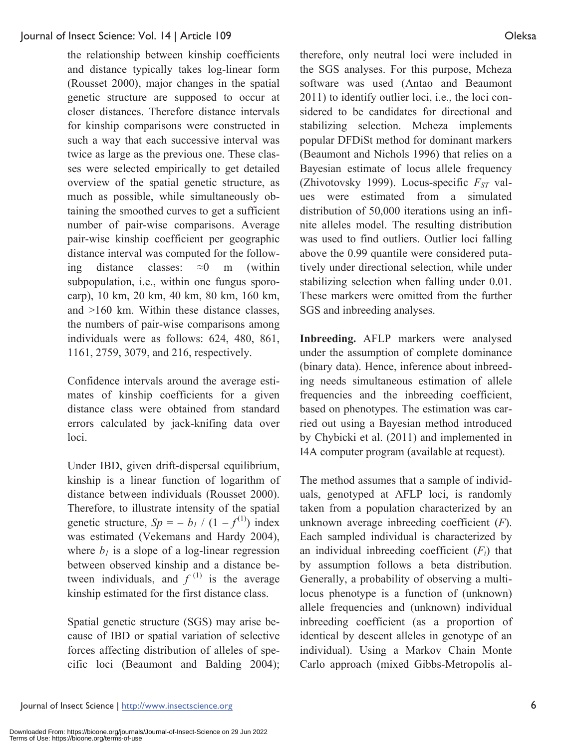the relationship between kinship coefficients and distance typically takes log-linear form (Rousset 2000), major changes in the spatial genetic structure are supposed to occur at closer distances. Therefore distance intervals for kinship comparisons were constructed in such a way that each successive interval was twice as large as the previous one. These classes were selected empirically to get detailed overview of the spatial genetic structure, as much as possible, while simultaneously obtaining the smoothed curves to get a sufficient number of pair-wise comparisons. Average pair-wise kinship coefficient per geographic distance interval was computed for the following distance classes:  $\approx 0$  m (within subpopulation, i.e., within one fungus sporocarp), 10 km, 20 km, 40 km, 80 km, 160 km, and >160 km. Within these distance classes, the numbers of pair-wise comparisons among individuals were as follows: 624, 480, 861, 1161, 2759, 3079, and 216, respectively.

Confidence intervals around the average estimates of kinship coefficients for a given distance class were obtained from standard errors calculated by jack-knifing data over loci.

Under IBD, given drift-dispersal equilibrium, kinship is a linear function of logarithm of distance between individuals (Rousset 2000). Therefore, to illustrate intensity of the spatial genetic structure,  $Sp = -b_1 / (1 - f^{(1)})$  index was estimated (Vekemans and Hardy 2004), where  $b_1$  is a slope of a log-linear regression between observed kinship and a distance between individuals, and  $f^{(1)}$  is the average kinship estimated for the first distance class.

Spatial genetic structure (SGS) may arise because of IBD or spatial variation of selective forces affecting distribution of alleles of specific loci (Beaumont and Balding 2004);

therefore, only neutral loci were included in the SGS analyses. For this purpose, Mcheza software was used (Antao and Beaumont 2011) to identify outlier loci, i.e., the loci considered to be candidates for directional and stabilizing selection. Mcheza implements popular DFDiSt method for dominant markers (Beaumont and Nichols 1996) that relies on a Bayesian estimate of locus allele frequency (Zhivotovsky 1999). Locus-specific  $F_{ST}$  values were estimated from a simulated distribution of 50,000 iterations using an infinite alleles model. The resulting distribution was used to find outliers. Outlier loci falling above the 0.99 quantile were considered putatively under directional selection, while under stabilizing selection when falling under 0.01. These markers were omitted from the further SGS and inbreeding analyses.

**Inbreeding.** AFLP markers were analysed under the assumption of complete dominance (binary data). Hence, inference about inbreeding needs simultaneous estimation of allele frequencies and the inbreeding coefficient, based on phenotypes. The estimation was carried out using a Bayesian method introduced by Chybicki et al. (2011) and implemented in I4A computer program (available at request).

The method assumes that a sample of individuals, genotyped at AFLP loci, is randomly taken from a population characterized by an unknown average inbreeding coefficient (*F*). Each sampled individual is characterized by an individual inbreeding coefficient  $(F_i)$  that by assumption follows a beta distribution. Generally, a probability of observing a multilocus phenotype is a function of (unknown) allele frequencies and (unknown) individual inbreeding coefficient (as a proportion of identical by descent alleles in genotype of an individual). Using a Markov Chain Monte Carlo approach (mixed Gibbs-Metropolis al-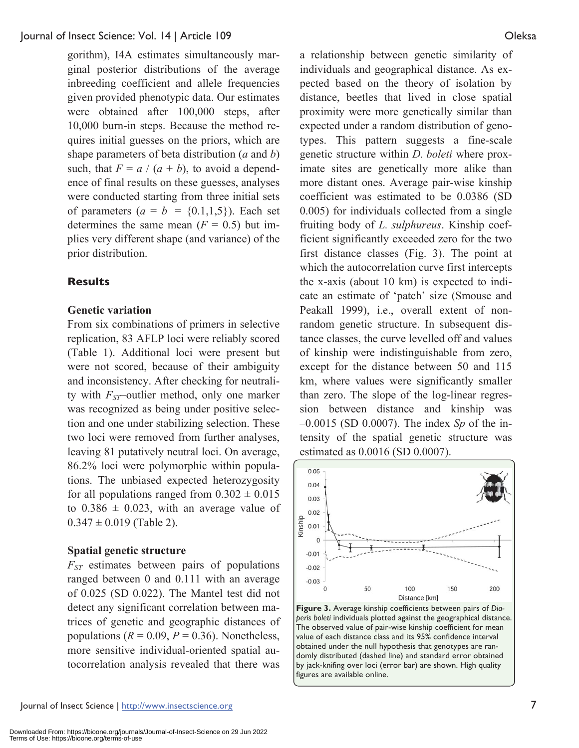gorithm), I4A estimates simultaneously marginal posterior distributions of the average inbreeding coefficient and allele frequencies given provided phenotypic data. Our estimates were obtained after 100,000 steps, after 10,000 burn-in steps. Because the method requires initial guesses on the priors, which are shape parameters of beta distribution (*a* and *b*) such, that  $F = a / (a + b)$ , to avoid a dependence of final results on these guesses, analyses were conducted starting from three initial sets of parameters  $(a = b = \{0.1, 1.5\})$ . Each set determines the same mean  $(F = 0.5)$  but implies very different shape (and variance) of the prior distribution.

#### **Results**

#### **Genetic variation**

From six combinations of primers in selective replication, 83 AFLP loci were reliably scored (Table 1). Additional loci were present but were not scored, because of their ambiguity and inconsistency. After checking for neutrality with  $F_{ST}$ –outlier method, only one marker was recognized as being under positive selection and one under stabilizing selection. These two loci were removed from further analyses, leaving 81 putatively neutral loci. On average, 86.2% loci were polymorphic within populations. The unbiased expected heterozygosity for all populations ranged from  $0.302 \pm 0.015$ to  $0.386 \pm 0.023$ , with an average value of  $0.347 \pm 0.019$  (Table 2).

#### **Spatial genetic structure**

 $F_{ST}$  estimates between pairs of populations ranged between 0 and 0.111 with an average of 0.025 (SD 0.022). The Mantel test did not detect any significant correlation between matrices of genetic and geographic distances of populations  $(R = 0.09, P = 0.36)$ . Nonetheless, more sensitive individual-oriented spatial autocorrelation analysis revealed that there was a relationship between genetic similarity of individuals and geographical distance. As expected based on the theory of isolation by distance, beetles that lived in close spatial proximity were more genetically similar than expected under a random distribution of genotypes. This pattern suggests a fine-scale genetic structure within *D. boleti* where proximate sites are genetically more alike than more distant ones. Average pair-wise kinship coefficient was estimated to be 0.0386 (SD 0.005) for individuals collected from a single fruiting body of *L. sulphureus*. Kinship coefficient significantly exceeded zero for the two first distance classes (Fig. 3). The point at which the autocorrelation curve first intercepts the x-axis (about 10 km) is expected to indicate an estimate of 'patch' size (Smouse and Peakall 1999), i.e., overall extent of nonrandom genetic structure. In subsequent distance classes, the curve levelled off and values of kinship were indistinguishable from zero, except for the distance between 50 and 115 km, where values were significantly smaller than zero. The slope of the log-linear regression between distance and kinship was ‒0.0015 (SD 0.0007). The index *Sp* of the intensity of the spatial genetic structure was estimated as 0.0016 (SD 0.0007).



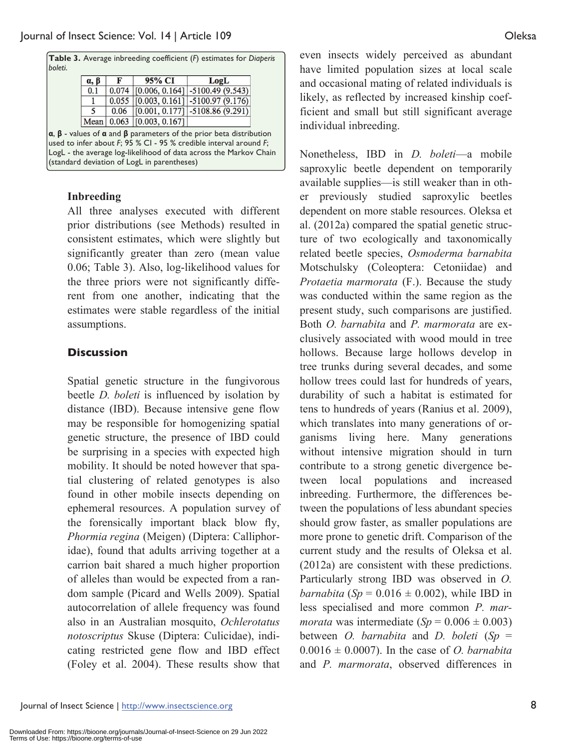| <b>Table 3.</b> Average inbreeding coefficient (F) estimates for Diaperis<br>boleti.          |                    |      |                                                         |                                           |  |  |  |  |  |
|-----------------------------------------------------------------------------------------------|--------------------|------|---------------------------------------------------------|-------------------------------------------|--|--|--|--|--|
|                                                                                               | $\alpha$ , $\beta$ |      | 95% CI                                                  | LogL                                      |  |  |  |  |  |
|                                                                                               | 0.1                |      |                                                         | $0.074$ $[0.006, 0.164]$ -5100.49 (9.543) |  |  |  |  |  |
|                                                                                               |                    |      |                                                         | $0.055$ $[0.003, 0.161]$ -5100.97 (9.176) |  |  |  |  |  |
|                                                                                               |                    | 0.06 |                                                         | $\vert$ [0.001, 0.177] -5108.86 (9.291)   |  |  |  |  |  |
|                                                                                               |                    |      | Mean $\vert 0.063 \vert \vert 0.003, 0.167 \vert \vert$ |                                           |  |  |  |  |  |
| $\alpha$ , $\beta$ - values of $\alpha$ and $\beta$ parameters of the prior beta distribution |                    |      |                                                         |                                           |  |  |  |  |  |

used to infer about *F*; 95 % CI - 95 % credible interval around *F*; LogL - the average log-likelihood of data across the Markov Chain (standard deviation of LogL in parentheses)

#### **Inbreeding**

All three analyses executed with different prior distributions (see Methods) resulted in consistent estimates, which were slightly but significantly greater than zero (mean value 0.06; Table 3). Also, log-likelihood values for the three priors were not significantly different from one another, indicating that the estimates were stable regardless of the initial assumptions.

## **Discussion**

Spatial genetic structure in the fungivorous beetle *D. boleti* is influenced by isolation by distance (IBD). Because intensive gene flow may be responsible for homogenizing spatial genetic structure, the presence of IBD could be surprising in a species with expected high mobility. It should be noted however that spatial clustering of related genotypes is also found in other mobile insects depending on ephemeral resources. A population survey of the forensically important black blow fly, *Phormia regina* (Meigen) (Diptera: Calliphoridae), found that adults arriving together at a carrion bait shared a much higher proportion of alleles than would be expected from a random sample (Picard and Wells 2009). Spatial autocorrelation of allele frequency was found also in an Australian mosquito, *Ochlerotatus notoscriptus* Skuse (Diptera: Culicidae), indicating restricted gene flow and IBD effect (Foley et al. 2004). These results show that

even insects widely perceived as abundant have limited population sizes at local scale and occasional mating of related individuals is likely, as reflected by increased kinship coefficient and small but still significant average individual inbreeding.

Nonetheless, IBD in *D. boleti*—a mobile saproxylic beetle dependent on temporarily available supplies—is still weaker than in other previously studied saproxylic beetles dependent on more stable resources. Oleksa et al. (2012a) compared the spatial genetic structure of two ecologically and taxonomically related beetle species, *Osmoderma barnabita* Motschulsky (Coleoptera: Cetoniidae) and *Protaetia marmorata* (F.). Because the study was conducted within the same region as the present study, such comparisons are justified. Both *O. barnabita* and *P. marmorata* are exclusively associated with wood mould in tree hollows. Because large hollows develop in tree trunks during several decades, and some hollow trees could last for hundreds of years, durability of such a habitat is estimated for tens to hundreds of years (Ranius et al. 2009), which translates into many generations of organisms living here. Many generations without intensive migration should in turn contribute to a strong genetic divergence between local populations and increased inbreeding. Furthermore, the differences between the populations of less abundant species should grow faster, as smaller populations are more prone to genetic drift. Comparison of the current study and the results of Oleksa et al. (2012a) are consistent with these predictions. Particularly strong IBD was observed in *O. barnabita*  $(Sp = 0.016 \pm 0.002)$ , while IBD in less specialised and more common *P. marmorata* was intermediate  $(Sp = 0.006 \pm 0.003)$ between *O. barnabita* and *D. boleti* (*Sp* = 0.0016 ± 0.0007). In the case of *O. barnabita* and *P. marmorata*, observed differences in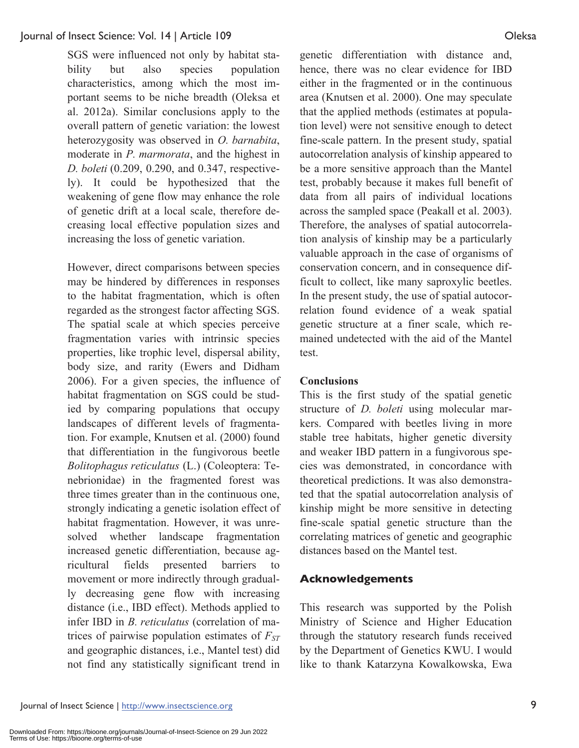SGS were influenced not only by habitat stability but also species population characteristics, among which the most important seems to be niche breadth (Oleksa et al. 2012a). Similar conclusions apply to the overall pattern of genetic variation: the lowest heterozygosity was observed in *O. barnabita*, moderate in *P. marmorata*, and the highest in *D. boleti* (0.209, 0.290, and 0.347, respectively). It could be hypothesized that the weakening of gene flow may enhance the role of genetic drift at a local scale, therefore decreasing local effective population sizes and increasing the loss of genetic variation.

However, direct comparisons between species may be hindered by differences in responses to the habitat fragmentation, which is often regarded as the strongest factor affecting SGS. The spatial scale at which species perceive fragmentation varies with intrinsic species properties, like trophic level, dispersal ability, body size, and rarity (Ewers and Didham 2006). For a given species, the influence of habitat fragmentation on SGS could be studied by comparing populations that occupy landscapes of different levels of fragmentation. For example, Knutsen et al. (2000) found that differentiation in the fungivorous beetle *Bolitophagus reticulatus* (L.) (Coleoptera: Tenebrionidae) in the fragmented forest was three times greater than in the continuous one, strongly indicating a genetic isolation effect of habitat fragmentation. However, it was unresolved whether landscape fragmentation increased genetic differentiation, because agricultural fields presented barriers to movement or more indirectly through gradually decreasing gene flow with increasing distance (i.e., IBD effect). Methods applied to infer IBD in *B. reticulatus* (correlation of matrices of pairwise population estimates of  $F_{ST}$ and geographic distances, i.e., Mantel test) did not find any statistically significant trend in

genetic differentiation with distance and, hence, there was no clear evidence for IBD either in the fragmented or in the continuous area (Knutsen et al. 2000). One may speculate that the applied methods (estimates at population level) were not sensitive enough to detect fine-scale pattern. In the present study, spatial autocorrelation analysis of kinship appeared to be a more sensitive approach than the Mantel test, probably because it makes full benefit of data from all pairs of individual locations across the sampled space (Peakall et al. 2003). Therefore, the analyses of spatial autocorrelation analysis of kinship may be a particularly valuable approach in the case of organisms of conservation concern, and in consequence difficult to collect, like many saproxylic beetles. In the present study, the use of spatial autocorrelation found evidence of a weak spatial genetic structure at a finer scale, which remained undetected with the aid of the Mantel test.

#### **Conclusions**

This is the first study of the spatial genetic structure of *D. boleti* using molecular markers. Compared with beetles living in more stable tree habitats, higher genetic diversity and weaker IBD pattern in a fungivorous species was demonstrated, in concordance with theoretical predictions. It was also demonstrated that the spatial autocorrelation analysis of kinship might be more sensitive in detecting fine-scale spatial genetic structure than the correlating matrices of genetic and geographic distances based on the Mantel test.

## **Acknowledgements**

This research was supported by the Polish Ministry of Science and Higher Education through the statutory research funds received by the Department of Genetics KWU. I would like to thank Katarzyna Kowalkowska, Ewa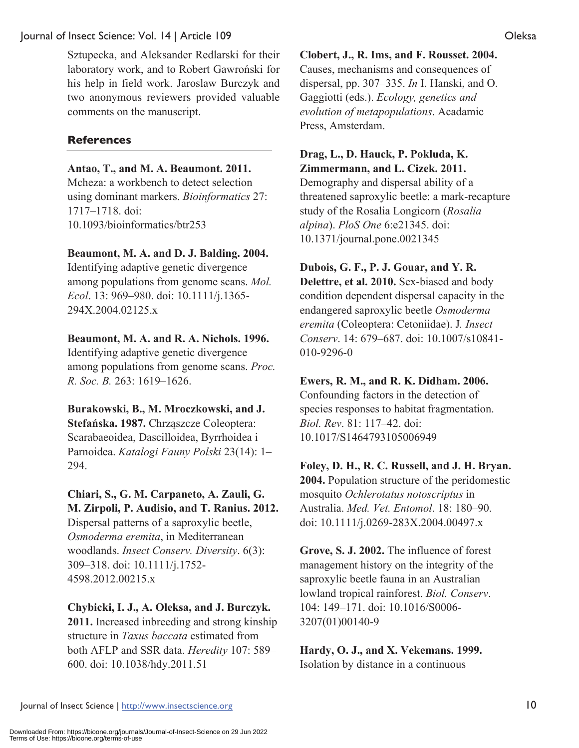Sztupecka, and Aleksander Redlarski for their laboratory work, and to Robert Gawroński for his help in field work. Jaroslaw Burczyk and two anonymous reviewers provided valuable comments on the manuscript.

## **References**

#### **Antao, T., and M. A. Beaumont. 2011.**

Mcheza: a workbench to detect selection using dominant markers. *Bioinformatics* 27: 1717–1718. doi: 10.1093/bioinformatics/btr253

#### **Beaumont, M. A. and D. J. Balding. 2004.**

Identifying adaptive genetic divergence among populations from genome scans. *Mol. Ecol*. 13: 969–980. doi: 10.1111/j.1365- 294X.2004.02125.x

#### **Beaumont, M. A. and R. A. Nichols. 1996.**

Identifying adaptive genetic divergence among populations from genome scans. *Proc. R. Soc. B.* 263: 1619–1626.

**Burakowski, B., M. Mroczkowski, and J. Stefańska. 1987.** Chrząszcze Coleoptera: Scarabaeoidea, Dascilloidea, Byrrhoidea i Parnoidea. *Katalogi Fauny Polski* 23(14): 1– 294.

#### **Chiari, S., G. M. Carpaneto, A. Zauli, G. M. Zirpoli, P. Audisio, and T. Ranius. 2012.**

Dispersal patterns of a saproxylic beetle, *Osmoderma eremita*, in Mediterranean woodlands. *Insect Conserv. Diversity*. 6(3): 309–318. doi: 10.1111/j.1752- 4598.2012.00215.x

#### **Chybicki, I. J., A. Oleksa, and J. Burczyk.**

**2011.** Increased inbreeding and strong kinship structure in *Taxus baccata* estimated from both AFLP and SSR data. *Heredity* 107: 589– 600. doi: 10.1038/hdy.2011.51

## **Clobert, J., R. Ims, and F. Rousset. 2004.**

Causes, mechanisms and consequences of dispersal, pp. 307–335. *In* I. Hanski, and O. Gaggiotti (eds.). *Ecology, genetics and evolution of metapopulations*. Acadamic Press, Amsterdam.

## **Drag, L., D. Hauck, P. Pokluda, K. Zimmermann, and L. Cizek. 2011.**

Demography and dispersal ability of a threatened saproxylic beetle: a mark-recapture study of the Rosalia Longicorn (*Rosalia alpina*). *PloS One* 6:e21345. doi: 10.1371/journal.pone.0021345

## **Dubois, G. F., P. J. Gouar, and Y. R.**

**Delettre, et al. 2010.** Sex-biased and body condition dependent dispersal capacity in the endangered saproxylic beetle *Osmoderma eremita* (Coleoptera: Cetoniidae). J*. Insect Conserv*. 14: 679–687. doi: 10.1007/s10841- 010-9296-0

#### **Ewers, R. M., and R. K. Didham. 2006.**

Confounding factors in the detection of species responses to habitat fragmentation. *Biol. Rev*. 81: 117–42. doi: 10.1017/S1464793105006949

#### **Foley, D. H., R. C. Russell, and J. H. Bryan.**

**2004.** Population structure of the peridomestic mosquito *Ochlerotatus notoscriptus* in Australia. *Med. Vet. Entomol*. 18: 180–90. doi: 10.1111/j.0269-283X.2004.00497.x

**Grove, S. J. 2002.** The influence of forest management history on the integrity of the saproxylic beetle fauna in an Australian lowland tropical rainforest. *Biol. Conserv*. 104: 149–171. doi: 10.1016/S0006- 3207(01)00140-9

**Hardy, O. J., and X. Vekemans. 1999.** Isolation by distance in a continuous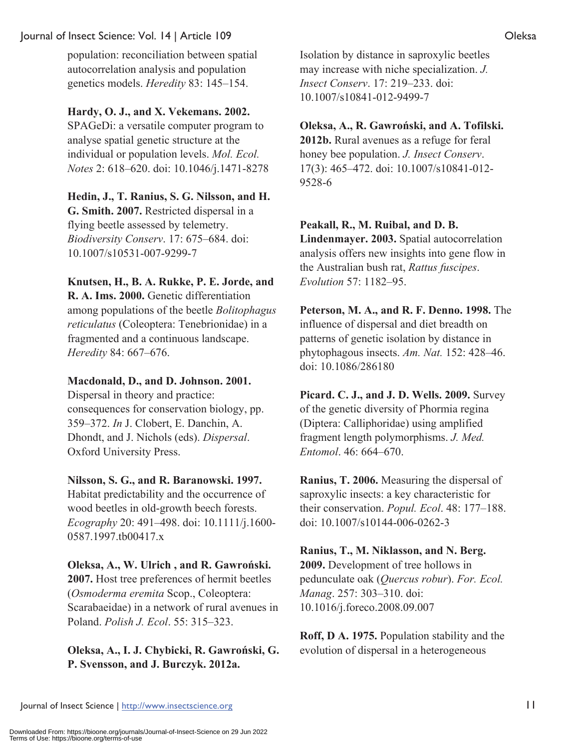population: reconciliation between spatial autocorrelation analysis and population genetics models. *Heredity* 83: 145–154.

## **Hardy, O. J., and X. Vekemans. 2002.**

SPAGeDi: a versatile computer program to analyse spatial genetic structure at the individual or population levels. *Mol. Ecol. Notes* 2: 618–620. doi: 10.1046/j.1471-8278

## **Hedin, J., T. Ranius, S. G. Nilsson, and H.**

**G. Smith. 2007.** Restricted dispersal in a flying beetle assessed by telemetry. *Biodiversity Conserv*. 17: 675–684. doi: 10.1007/s10531-007-9299-7

## **Knutsen, H., B. A. Rukke, P. E. Jorde, and**

**R. A. Ims. 2000.** Genetic differentiation among populations of the beetle *Bolitophagus reticulatus* (Coleoptera: Tenebrionidae) in a fragmented and a continuous landscape. *Heredity* 84: 667–676.

#### **Macdonald, D., and D. Johnson. 2001.**

Dispersal in theory and practice: consequences for conservation biology, pp. 359–372. *In* J. Clobert, E. Danchin, A. Dhondt, and J. Nichols (eds). *Dispersal*. Oxford University Press.

#### **Nilsson, S. G., and R. Baranowski. 1997.**

Habitat predictability and the occurrence of wood beetles in old-growth beech forests. *Ecography* 20: 491–498. doi: 10.1111/j.1600- 0587.1997.tb00417.x

**Oleksa, A., W. Ulrich , and R. Gawroński. 2007.** Host tree preferences of hermit beetles (*Osmoderma eremita* Scop., Coleoptera: Scarabaeidae) in a network of rural avenues in Poland. *Polish J. Ecol*. 55: 315–323.

**Oleksa, A., I. J. Chybicki, R. Gawroński, G. P. Svensson, and J. Burczyk. 2012a.**

Isolation by distance in saproxylic beetles may increase with niche specialization. *J. Insect Conserv*. 17: 219–233. doi: 10.1007/s10841-012-9499-7

## **Oleksa, A., R. Gawroński, and A. Tofilski.**

**2012b.** Rural avenues as a refuge for feral honey bee population. *J. Insect Conserv*. 17(3): 465–472. doi: 10.1007/s10841-012- 9528-6

## **Peakall, R., M. Ruibal, and D. B.**

**Lindenmayer. 2003.** Spatial autocorrelation analysis offers new insights into gene flow in the Australian bush rat, *Rattus fuscipes*. *Evolution* 57: 1182–95.

**Peterson, M. A., and R. F. Denno. 1998.** The influence of dispersal and diet breadth on patterns of genetic isolation by distance in phytophagous insects. *Am. Nat.* 152: 428–46. doi: 10.1086/286180

**Picard. C. J., and J. D. Wells. 2009.** Survey of the genetic diversity of Phormia regina (Diptera: Calliphoridae) using amplified fragment length polymorphisms. *J. Med. Entomol*. 46: 664–670.

**Ranius, T. 2006.** Measuring the dispersal of saproxylic insects: a key characteristic for their conservation. *Popul. Ecol*. 48: 177–188. doi: 10.1007/s10144-006-0262-3

**Ranius, T., M. Niklasson, and N. Berg. 2009.** Development of tree hollows in pedunculate oak (*Quercus robur*). *For. Ecol. Manag*. 257: 303–310. doi: 10.1016/j.foreco.2008.09.007

**Roff, D A. 1975.** Population stability and the evolution of dispersal in a heterogeneous